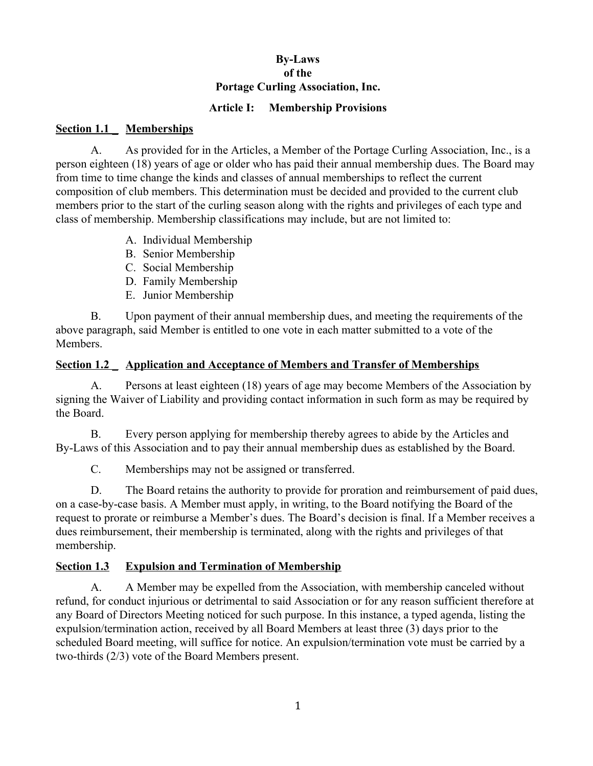## **By-Laws of the Portage Curling Association, Inc.**

### **Article I: Membership Provisions**

#### **Section 1.1 \_ Memberships**

A. As provided for in the Articles, a Member of the Portage Curling Association, Inc., is a person eighteen (18) years of age or older who has paid their annual membership dues. The Board may from time to time change the kinds and classes of annual memberships to reflect the current composition of club members. This determination must be decided and provided to the current club members prior to the start of the curling season along with the rights and privileges of each type and class of membership. Membership classifications may include, but are not limited to:

- A. Individual Membership
- B. Senior Membership
- C. Social Membership
- D. Family Membership
- E. Junior Membership

B. Upon payment of their annual membership dues, and meeting the requirements of the above paragraph, said Member is entitled to one vote in each matter submitted to a vote of the Members.

### **Section 1.2 \_ Application and Acceptance of Members and Transfer of Memberships**

A. Persons at least eighteen (18) years of age may become Members of the Association by signing the Waiver of Liability and providing contact information in such form as may be required by the Board.

B. Every person applying for membership thereby agrees to abide by the Articles and By-Laws of this Association and to pay their annual membership dues as established by the Board.

C. Memberships may not be assigned or transferred.

D. The Board retains the authority to provide for proration and reimbursement of paid dues, on a case-by-case basis. A Member must apply, in writing, to the Board notifying the Board of the request to prorate or reimburse a Member's dues. The Board's decision is final. If a Member receives a dues reimbursement, their membership is terminated, along with the rights and privileges of that membership.

### **Section 1.3 Expulsion and Termination of Membership**

A. A Member may be expelled from the Association, with membership canceled without refund, for conduct injurious or detrimental to said Association or for any reason sufficient therefore at any Board of Directors Meeting noticed for such purpose. In this instance, a typed agenda, listing the expulsion/termination action, received by all Board Members at least three (3) days prior to the scheduled Board meeting, will suffice for notice. An expulsion/termination vote must be carried by a two-thirds (2/3) vote of the Board Members present.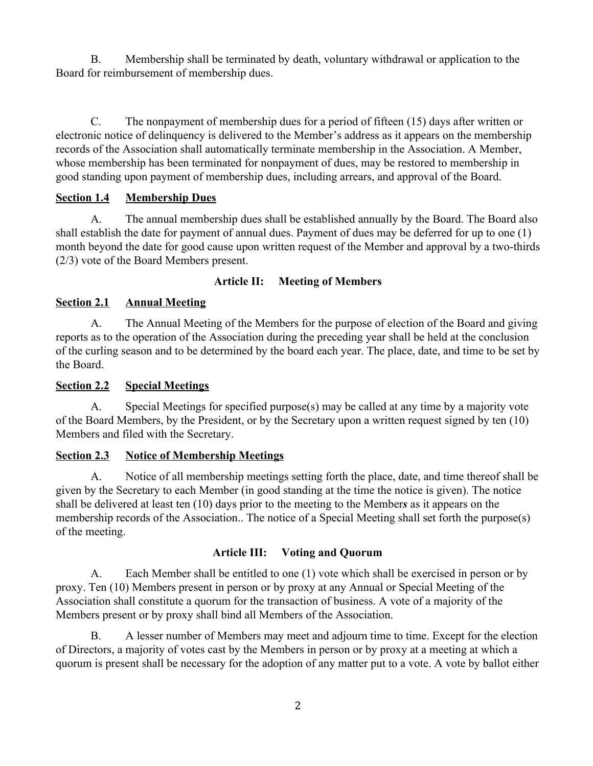B. Membership shall be terminated by death, voluntary withdrawal or application to the Board for reimbursement of membership dues.

C. The nonpayment of membership dues for a period of fifteen (15) days after written or electronic notice of delinquency is delivered to the Member's address as it appears on the membership records of the Association shall automatically terminate membership in the Association. A Member, whose membership has been terminated for nonpayment of dues, may be restored to membership in good standing upon payment of membership dues, including arrears, and approval of the Board.

## **Section 1.4 Membership Dues**

A. The annual membership dues shall be established annually by the Board. The Board also shall establish the date for payment of annual dues. Payment of dues may be deferred for up to one (1) month beyond the date for good cause upon written request of the Member and approval by a two-thirds (2/3) vote of the Board Members present.

## **Article II: Meeting of Members**

## **Section 2.1 Annual Meeting**

A. The Annual Meeting of the Members for the purpose of election of the Board and giving reports as to the operation of the Association during the preceding year shall be held at the conclusion of the curling season and to be determined by the board each year. The place, date, and time to be set by the Board.

### **Section 2.2 Special Meetings**

A. Special Meetings for specified purpose(s) may be called at any time by a majority vote of the Board Members, by the President, or by the Secretary upon a written request signed by ten (10) Members and filed with the Secretary.

### **Section 2.3 Notice of Membership Meetings**

A. Notice of all membership meetings setting forth the place, date, and time thereof shall be given by the Secretary to each Member (in good standing at the time the notice is given). The notice shall be delivered at least ten (10) days prior to the meeting to the Member*s* as it appears on the membership records of the Association.. The notice of a Special Meeting shall set forth the purpose(s) of the meeting.

### **Article III: Voting and Quorum**

A. Each Member shall be entitled to one (1) vote which shall be exercised in person or by proxy. Ten (10) Members present in person or by proxy at any Annual or Special Meeting of the Association shall constitute a quorum for the transaction of business. A vote of a majority of the Members present or by proxy shall bind all Members of the Association.

B. A lesser number of Members may meet and adjourn time to time. Except for the election of Directors, a majority of votes cast by the Members in person or by proxy at a meeting at which a quorum is present shall be necessary for the adoption of any matter put to a vote. A vote by ballot either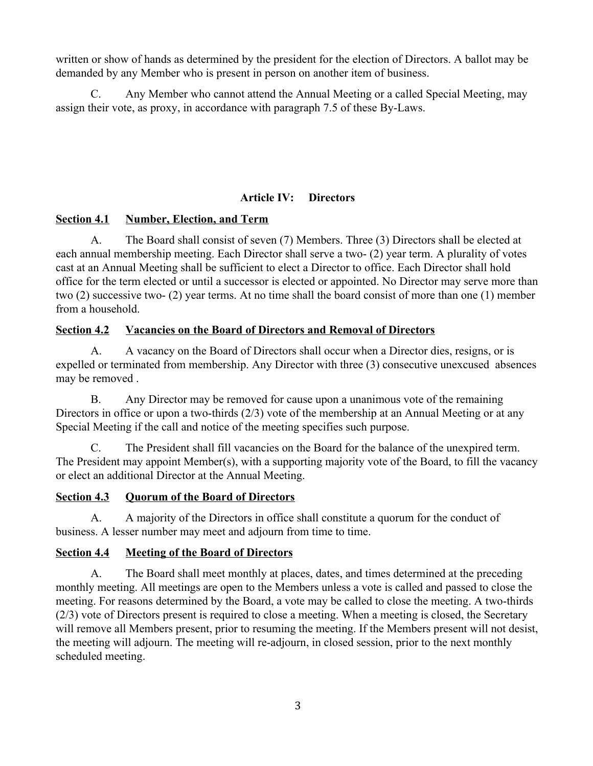written or show of hands as determined by the president for the election of Directors. A ballot may be demanded by any Member who is present in person on another item of business.

C. Any Member who cannot attend the Annual Meeting or a called Special Meeting, may assign their vote, as proxy, in accordance with paragraph 7.5 of these By-Laws.

### **Article IV: Directors**

### **Section 4.1 Number, Election, and Term**

A. The Board shall consist of seven (7) Members. Three (3) Directors shall be elected at each annual membership meeting. Each Director shall serve a two- (2) year term. A plurality of votes cast at an Annual Meeting shall be sufficient to elect a Director to office. Each Director shall hold office for the term elected or until a successor is elected or appointed. No Director may serve more than two (2) successive two- (2) year terms. At no time shall the board consist of more than one (1) member from a household.

### **Section 4.2 Vacancies on the Board of Directors and Removal of Directors**

A. A vacancy on the Board of Directors shall occur when a Director dies, resigns, or is expelled or terminated from membership. Any Director with three (3) consecutive unexcused absences may be removed .

B. Any Director may be removed for cause upon a unanimous vote of the remaining Directors in office or upon a two-thirds (2/3) vote of the membership at an Annual Meeting or at any Special Meeting if the call and notice of the meeting specifies such purpose.

C. The President shall fill vacancies on the Board for the balance of the unexpired term. The President may appoint Member(s), with a supporting majority vote of the Board, to fill the vacancy or elect an additional Director at the Annual Meeting.

#### **Section 4.3 Quorum of the Board of Directors**

A. A majority of the Directors in office shall constitute a quorum for the conduct of business. A lesser number may meet and adjourn from time to time.

#### **Section 4.4 Meeting of the Board of Directors**

A. The Board shall meet monthly at places, dates, and times determined at the preceding monthly meeting. All meetings are open to the Members unless a vote is called and passed to close the meeting. For reasons determined by the Board, a vote may be called to close the meeting. A two-thirds (2/3) vote of Directors present is required to close a meeting. When a meeting is closed, the Secretary will remove all Members present, prior to resuming the meeting. If the Members present will not desist, the meeting will adjourn. The meeting will re-adjourn, in closed session, prior to the next monthly scheduled meeting.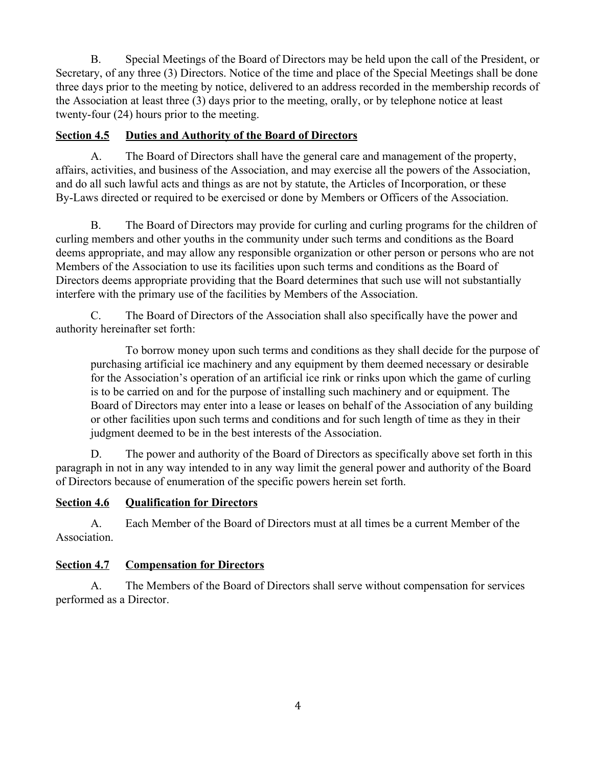B. Special Meetings of the Board of Directors may be held upon the call of the President, or Secretary, of any three (3) Directors. Notice of the time and place of the Special Meetings shall be done three days prior to the meeting by notice, delivered to an address recorded in the membership records of the Association at least three (3) days prior to the meeting, orally, or by telephone notice at least twenty-four (24) hours prior to the meeting.

## **Section 4.5 Duties and Authority of the Board of Directors**

A. The Board of Directors shall have the general care and management of the property, affairs, activities, and business of the Association, and may exercise all the powers of the Association, and do all such lawful acts and things as are not by statute, the Articles of Incorporation, or these By-Laws directed or required to be exercised or done by Members or Officers of the Association.

B. The Board of Directors may provide for curling and curling programs for the children of curling members and other youths in the community under such terms and conditions as the Board deems appropriate, and may allow any responsible organization or other person or persons who are not Members of the Association to use its facilities upon such terms and conditions as the Board of Directors deems appropriate providing that the Board determines that such use will not substantially interfere with the primary use of the facilities by Members of the Association.

C. The Board of Directors of the Association shall also specifically have the power and authority hereinafter set forth:

To borrow money upon such terms and conditions as they shall decide for the purpose of purchasing artificial ice machinery and any equipment by them deemed necessary or desirable for the Association's operation of an artificial ice rink or rinks upon which the game of curling is to be carried on and for the purpose of installing such machinery and or equipment. The Board of Directors may enter into a lease or leases on behalf of the Association of any building or other facilities upon such terms and conditions and for such length of time as they in their judgment deemed to be in the best interests of the Association.

D. The power and authority of the Board of Directors as specifically above set forth in this paragraph in not in any way intended to in any way limit the general power and authority of the Board of Directors because of enumeration of the specific powers herein set forth.

## **Section 4.6 Qualification for Directors**

A. Each Member of the Board of Directors must at all times be a current Member of the Association.

## **Section 4.7 Compensation for Directors**

A. The Members of the Board of Directors shall serve without compensation for services performed as a Director.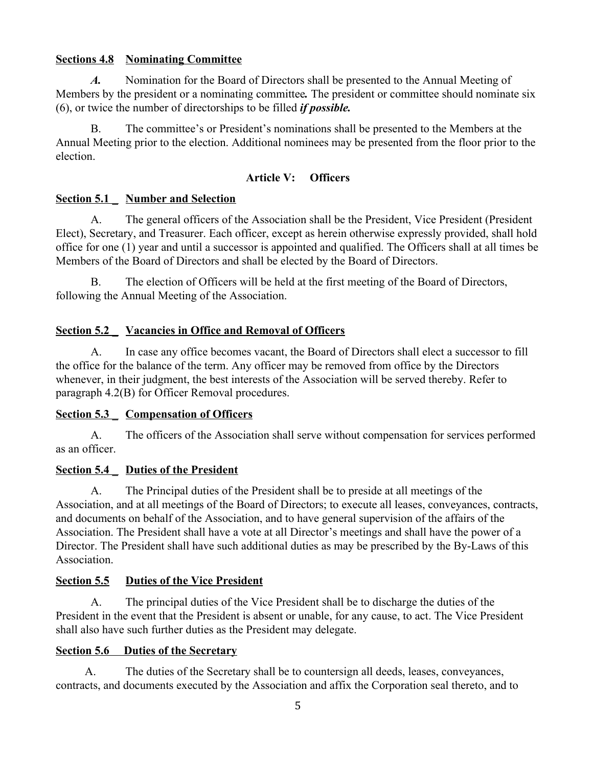### **Sections 4.8 Nominating Committee**

*A.* Nomination for the Board of Directors shall be presented to the Annual Meeting of Members by the president or a nominating committee*.* The president or committee should nominate six (6), or twice the number of directorships to be filled *if possible.*

B. The committee's or President's nominations shall be presented to the Members at the Annual Meeting prior to the election. Additional nominees may be presented from the floor prior to the election.

### **Article V: Officers**

### **Section 5.1 \_ Number and Selection**

A. The general officers of the Association shall be the President, Vice President (President Elect), Secretary, and Treasurer. Each officer, except as herein otherwise expressly provided, shall hold office for one (1) year and until a successor is appointed and qualified. The Officers shall at all times be Members of the Board of Directors and shall be elected by the Board of Directors.

B. The election of Officers will be held at the first meeting of the Board of Directors, following the Annual Meeting of the Association.

### **Section 5.2 \_ Vacancies in Office and Removal of Officers**

A. In case any office becomes vacant, the Board of Directors shall elect a successor to fill the office for the balance of the term. Any officer may be removed from office by the Directors whenever, in their judgment, the best interests of the Association will be served thereby. Refer to paragraph 4.2(B) for Officer Removal procedures.

#### **Section 5.3 \_ Compensation of Officers**

A. The officers of the Association shall serve without compensation for services performed as an officer.

### **Section 5.4 \_ Duties of the President**

A. The Principal duties of the President shall be to preside at all meetings of the Association, and at all meetings of the Board of Directors; to execute all leases, conveyances, contracts, and documents on behalf of the Association, and to have general supervision of the affairs of the Association. The President shall have a vote at all Director's meetings and shall have the power of a Director. The President shall have such additional duties as may be prescribed by the By-Laws of this Association.

### **Section 5.5 Duties of the Vice President**

A. The principal duties of the Vice President shall be to discharge the duties of the President in the event that the President is absent or unable, for any cause, to act. The Vice President shall also have such further duties as the President may delegate.

#### **Section 5.6 Duties of the Secretary**

A. The duties of the Secretary shall be to countersign all deeds, leases, conveyances, contracts, and documents executed by the Association and affix the Corporation seal thereto, and to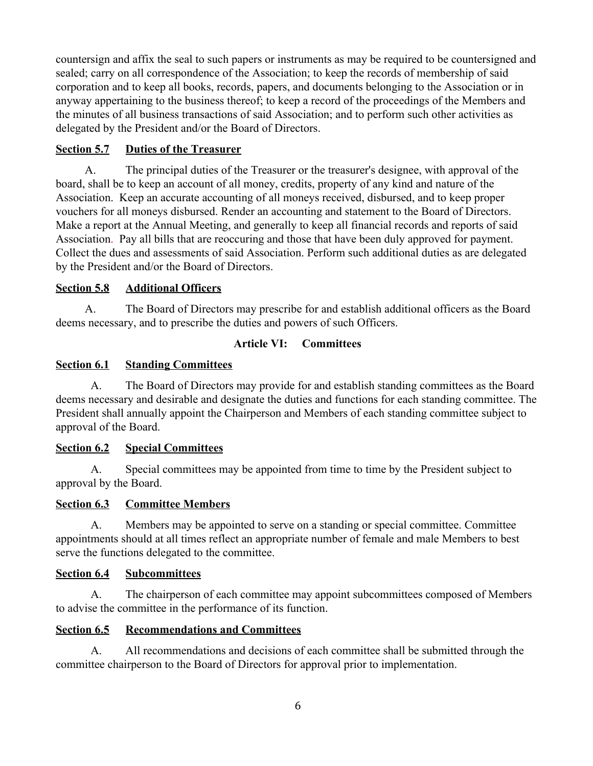countersign and affix the seal to such papers or instruments as may be required to be countersigned and sealed; carry on all correspondence of the Association; to keep the records of membership of said corporation and to keep all books, records, papers, and documents belonging to the Association or in anyway appertaining to the business thereof; to keep a record of the proceedings of the Members and the minutes of all business transactions of said Association; and to perform such other activities as delegated by the President and/or the Board of Directors.

## **Section 5.7 Duties of the Treasurer**

A. The principal duties of the Treasurer or the treasurer's designee, with approval of the board, shall be to keep an account of all money, credits, property of any kind and nature of the Association. Keep an accurate accounting of all moneys received, disbursed, and to keep proper vouchers for all moneys disbursed. Render an accounting and statement to the Board of Directors. Make a report at the Annual Meeting, and generally to keep all financial records and reports of said Association. Pay all bills that are reoccuring and those that have been duly approved for payment. Collect the dues and assessments of said Association. Perform such additional duties as are delegated by the President and/or the Board of Directors.

## **Section 5.8 Additional Officers**

A. The Board of Directors may prescribe for and establish additional officers as the Board deems necessary, and to prescribe the duties and powers of such Officers.

## **Article VI: Committees**

## **Section 6.1 Standing Committees**

A. The Board of Directors may provide for and establish standing committees as the Board deems necessary and desirable and designate the duties and functions for each standing committee. The President shall annually appoint the Chairperson and Members of each standing committee subject to approval of the Board.

### **Section 6.2 Special Committees**

A. Special committees may be appointed from time to time by the President subject to approval by the Board.

### **Section 6.3 Committee Members**

A. Members may be appointed to serve on a standing or special committee. Committee appointments should at all times reflect an appropriate number of female and male Members to best serve the functions delegated to the committee.

### **Section 6.4 Subcommittees**

A. The chairperson of each committee may appoint subcommittees composed of Members to advise the committee in the performance of its function.

## **Section 6.5 Recommendations and Committees**

A. All recommendations and decisions of each committee shall be submitted through the committee chairperson to the Board of Directors for approval prior to implementation.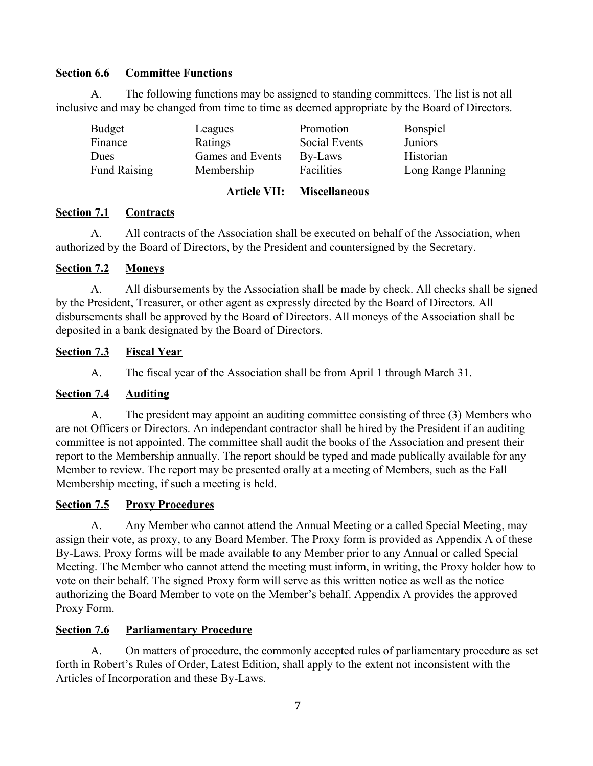### **Section 6.6 Committee Functions**

A. The following functions may be assigned to standing committees. The list is not all inclusive and may be changed from time to time as deemed appropriate by the Board of Directors.

|                     | <b>Article VII:</b> | <b>Miscellaneous</b> |                     |
|---------------------|---------------------|----------------------|---------------------|
| <b>Fund Raising</b> | Membership          | Facilities           | Long Range Planning |
| Dues                | Games and Events    | By-Laws              | Historian           |
| Finance             | Ratings             | Social Events        | <b>Juniors</b>      |
| Budget              | Leagues             | Promotion            | <b>Bonspiel</b>     |

### **Section 7.1 Contracts**

A. All contracts of the Association shall be executed on behalf of the Association, when authorized by the Board of Directors, by the President and countersigned by the Secretary.

### **Section 7.2 Moneys**

A. All disbursements by the Association shall be made by check. All checks shall be signed by the President, Treasurer, or other agent as expressly directed by the Board of Directors. All disbursements shall be approved by the Board of Directors. All moneys of the Association shall be deposited in a bank designated by the Board of Directors.

### **Section 7.3 Fiscal Year**

A. The fiscal year of the Association shall be from April 1 through March 31.

### **Section 7.4 Auditing**

A. The president may appoint an auditing committee consisting of three (3) Members who are not Officers or Directors. An independant contractor shall be hired by the President if an auditing committee is not appointed. The committee shall audit the books of the Association and present their report to the Membership annually. The report should be typed and made publically available for any Member to review. The report may be presented orally at a meeting of Members, such as the Fall Membership meeting, if such a meeting is held.

### **<u>Section 7.5</u> Proxy Procedures**

A. Any Member who cannot attend the Annual Meeting or a called Special Meeting, may assign their vote, as proxy, to any Board Member. The Proxy form is provided as Appendix A of these By-Laws. Proxy forms will be made available to any Member prior to any Annual or called Special Meeting. The Member who cannot attend the meeting must inform, in writing, the Proxy holder how to vote on their behalf. The signed Proxy form will serve as this written notice as well as the notice authorizing the Board Member to vote on the Member's behalf. Appendix A provides the approved Proxy Form.

### **Section 7.6 Parliamentary Procedure**

A. On matters of procedure, the commonly accepted rules of parliamentary procedure as set forth in Robert's Rules of Order, Latest Edition, shall apply to the extent not inconsistent with the Articles of Incorporation and these By-Laws.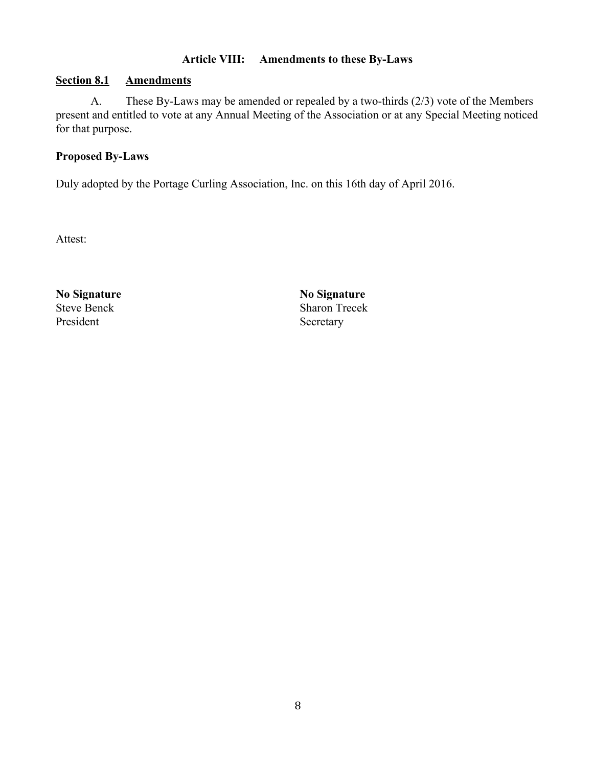### **Article VIII: Amendments to these By-Laws**

#### **Section 8.1 Amendments**

A. These By-Laws may be amended or repealed by a two-thirds (2/3) vote of the Members present and entitled to vote at any Annual Meeting of the Association or at any Special Meeting noticed for that purpose.

#### **Proposed By-Laws**

Duly adopted by the Portage Curling Association, Inc. on this 16th day of April 2016.

Attest:

**No Signature No Signature** President Secretary

Steve Benck Sharon Trecek